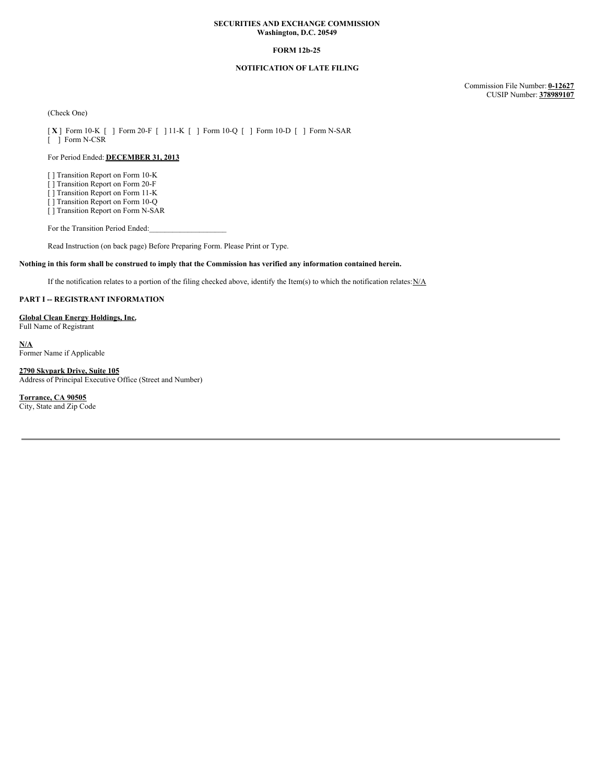### **SECURITIES AND EXCHANGE COMMISSION Washington, D.C. 20549**

## **FORM 12b-25**

# **NOTIFICATION OF LATE FILING**

Commission File Number: **0-12627** CUSIP Number: **378989107**

(Check One)

[ **X** ] Form 10-K [ ] Form 20-F [ ] 11-K [ ] Form 10-Q [ ] Form 10-D [ ] Form N-SAR [ ] Form N-CSR

# For Period Ended: **DECEMBER 31, 2013**

[ ] Transition Report on Form 10-K

[ ] Transition Report on Form 20-F

[ ] Transition Report on Form 11-K

[ ] Transition Report on Form 10-Q [ ] Transition Report on Form N-SAR

For the Transition Period Ended:

Read Instruction (on back page) Before Preparing Form. Please Print or Type.

## Nothing in this form shall be construed to imply that the Commission has verified any information contained herein.

If the notification relates to a portion of the filing checked above, identify the Item(s) to which the notification relates: $N/A$ 

### **PART I -- REGISTRANT INFORMATION**

#### **Global Clean Energy Holdings, Inc.**

Full Name of Registrant

**N/A** Former Name if Applicable

**2790 Skypark Drive, Suite 105** Address of Principal Executive Office (Street and Number)

**Torrance, CA 90505**

City, State and Zip Code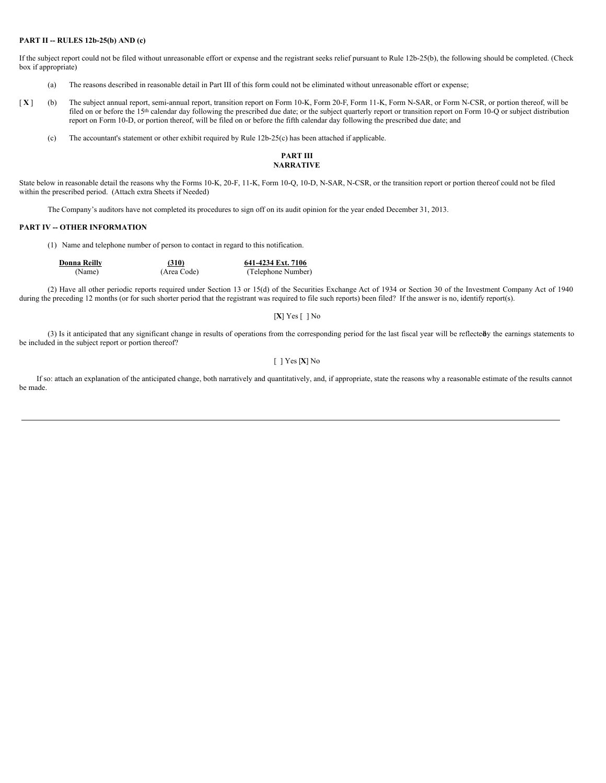## **PART II -- RULES 12b-25(b) AND (c)**

If the subject report could not be filed without unreasonable effort or expense and the registrant seeks relief pursuant to Rule 12b-25(b), the following should be completed. (Check box if appropriate)

- (a) The reasons described in reasonable detail in Part III of this form could not be eliminated without unreasonable effort or expense;
- [X] (b) The subject annual report, semi-annual report, transition report on Form 10-K, Form 20-F, Form 11-K, Form N-SAR, or Form N-CSR, or portion thereof, will be filed on or before the 15<sup>th</sup> calendar day following the prescribed due date; or the subject quarterly report or transition report on Form 10-Q or subject distribution report on Form 10-D, or portion thereof, will be filed on or before the fifth calendar day following the prescribed due date; and
	- (c) The accountant's statement or other exhibit required by Rule 12b-25(c) has been attached if applicable.

## **PART III NARRATIVE**

State below in reasonable detail the reasons why the Forms 10-K, 20-F, 11-K, Form 10-Q, 10-D, N-SAR, N-CSR, or the transition report or portion thereof could not be filed within the prescribed period. (Attach extra Sheets if Needed)

The Company's auditors have not completed its procedures to sign off on its audit opinion for the year ended December 31, 2013.

## **PART IV -- OTHER INFORMATION**

(1) Name and telephone number of person to contact in regard to this notification.

| Donna Reilly | (310)       | 641-4234 Ext. 7106 |
|--------------|-------------|--------------------|
| (Name)       | (Area Code) | (Telephone Number) |

(2) Have all other periodic reports required under Section 13 or 15(d) of the Securities Exchange Act of 1934 or Section 30 of the Investment Company Act of 1940 during the preceding 12 months (or for such shorter period that the registrant was required to file such reports) been filed? If the answer is no, identify report(s).

# [**X**] Yes [ ] No

(3) Is it anticipated that any significant change in results of operations from the corresponding period for the last fiscal year will be reflected the earnings statements to be included in the subject report or portion thereof?

#### [ ] Yes [**X**] No

If so: attach an explanation of the anticipated change, both narratively and quantitatively, and, if appropriate, state the reasons why a reasonable estimate of the results cannot be made.